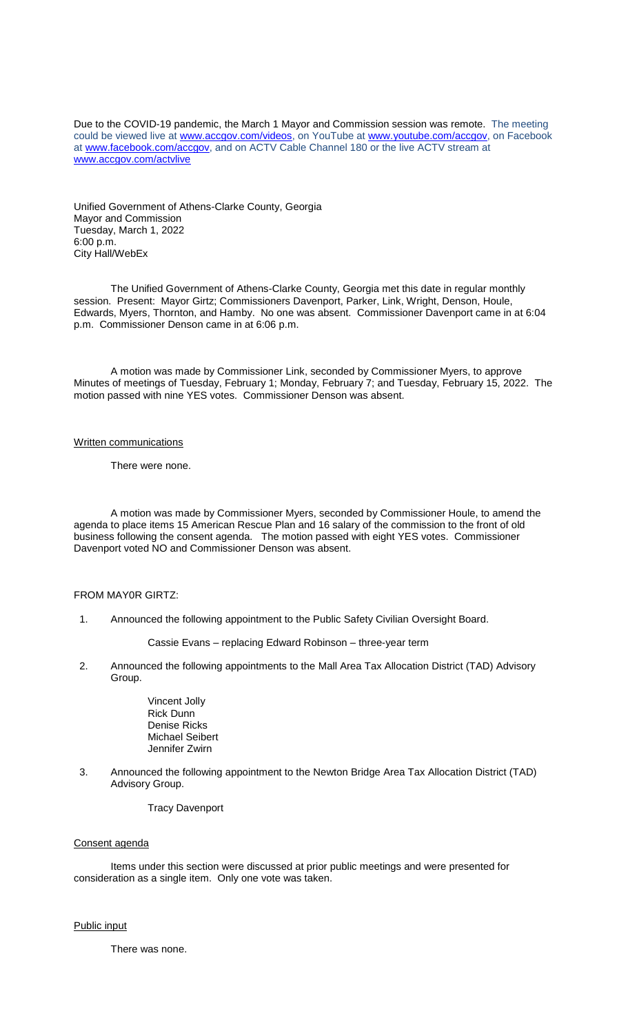Due to the COVID-19 pandemic, the March 1 Mayor and Commission session was remote. The meeting could be viewed live at [www.accgov.com/videos,](http://www.accgov.com/videos) on YouTube at [www.youtube.com/accgov,](http://www.youtube.com/accgov) on Facebook at [www.facebook.com/accgov,](http://www.facebook.com/accgov) and on ACTV Cable Channel 180 or the live ACTV stream at [www.accgov.com/actvlive](http://www.accgov.com/actvlive)

Unified Government of Athens-Clarke County, Georgia Mayor and Commission Tuesday, March 1, 2022 6:00 p.m. City Hall/WebEx

The Unified Government of Athens-Clarke County, Georgia met this date in regular monthly session. Present: Mayor Girtz; Commissioners Davenport, Parker, Link, Wright, Denson, Houle, Edwards, Myers, Thornton, and Hamby. No one was absent. Commissioner Davenport came in at 6:04 p.m. Commissioner Denson came in at 6:06 p.m.

A motion was made by Commissioner Link, seconded by Commissioner Myers, to approve Minutes of meetings of Tuesday, February 1; Monday, February 7; and Tuesday, February 15, 2022. The motion passed with nine YES votes. Commissioner Denson was absent.

#### Written communications

There were none.

A motion was made by Commissioner Myers, seconded by Commissioner Houle, to amend the agenda to place items 15 American Rescue Plan and 16 salary of the commission to the front of old business following the consent agenda. The motion passed with eight YES votes. Commissioner Davenport voted NO and Commissioner Denson was absent.

### FROM MAY0R GIRTZ:

- 1. Announced the following appointment to the Public Safety Civilian Oversight Board.
	- Cassie Evans replacing Edward Robinson three-year term
- 2. Announced the following appointments to the Mall Area Tax Allocation District (TAD) Advisory Group.

Vincent Jolly Rick Dunn Denise Ricks Michael Seibert Jennifer Zwirn

 3. Announced the following appointment to the Newton Bridge Area Tax Allocation District (TAD) Advisory Group.

# Tracy Davenport

#### Consent agenda

Items under this section were discussed at prior public meetings and were presented for consideration as a single item. Only one vote was taken.

#### Public input

There was none.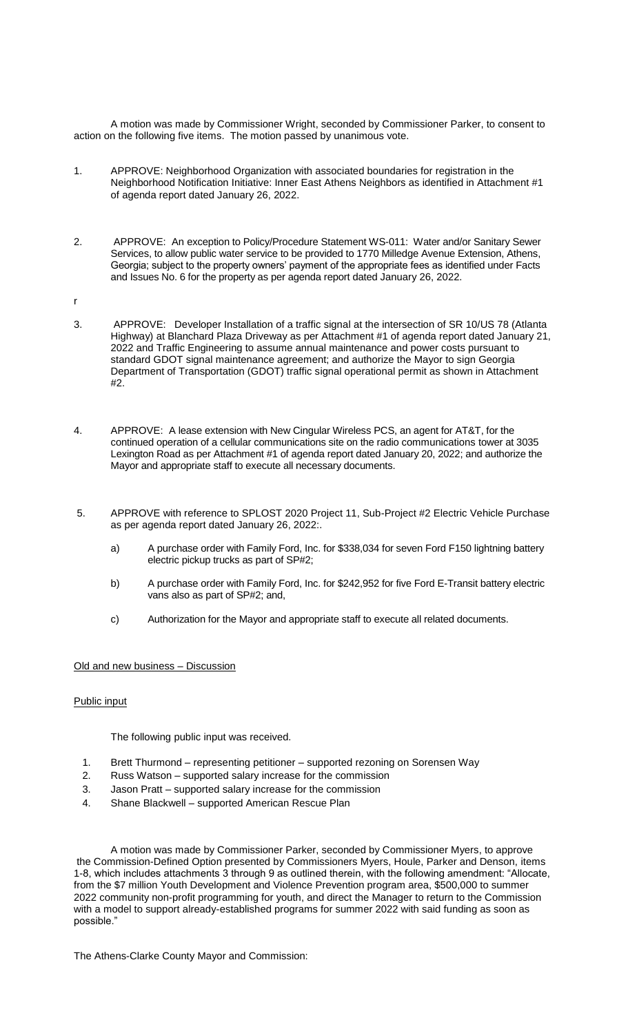A motion was made by Commissioner Wright, seconded by Commissioner Parker, to consent to action on the following five items. The motion passed by unanimous vote.

- 1. APPROVE: Neighborhood Organization with associated boundaries for registration in the Neighborhood Notification Initiative: Inner East Athens Neighbors as identified in Attachment #1 of agenda report dated January 26, 2022.
- 2. APPROVE: An exception to Policy/Procedure Statement WS-011: Water and/or Sanitary Sewer Services, to allow public water service to be provided to 1770 Milledge Avenue Extension, Athens, Georgia; subject to the property owners' payment of the appropriate fees as identified under Facts and Issues No. 6 for the property as per agenda report dated January 26, 2022.

r

- 3. APPROVE: Developer Installation of a traffic signal at the intersection of SR 10/US 78 (Atlanta Highway) at Blanchard Plaza Driveway as per Attachment #1 of agenda report dated January 21, 2022 and Traffic Engineering to assume annual maintenance and power costs pursuant to standard GDOT signal maintenance agreement; and authorize the Mayor to sign Georgia Department of Transportation (GDOT) traffic signal operational permit as shown in Attachment #2.
- 4. APPROVE: A lease extension with New Cingular Wireless PCS, an agent for AT&T, for the continued operation of a cellular communications site on the radio communications tower at 3035 Lexington Road as per Attachment #1 of agenda report dated January 20, 2022; and authorize the Mayor and appropriate staff to execute all necessary documents.
- 5. APPROVE with reference to SPLOST 2020 Project 11, Sub-Project #2 Electric Vehicle Purchase as per agenda report dated January 26, 2022:.
	- a) A purchase order with Family Ford, Inc. for \$338,034 for seven Ford F150 lightning battery electric pickup trucks as part of SP#2;
	- b) A purchase order with Family Ford, Inc. for \$242,952 for five Ford E-Transit battery electric vans also as part of SP#2; and,
	- c) Authorization for the Mayor and appropriate staff to execute all related documents.

## Old and new business – Discussion

## Public input

The following public input was received.

- 1. Brett Thurmond representing petitioner supported rezoning on Sorensen Way
- 2. Russ Watson supported salary increase for the commission
- 3. Jason Pratt supported salary increase for the commission
- 4. Shane Blackwell supported American Rescue Plan

A motion was made by Commissioner Parker, seconded by Commissioner Myers, to approve the Commission-Defined Option presented by Commissioners Myers, Houle, Parker and Denson, items 1-8, which includes attachments 3 through 9 as outlined therein, with the following amendment: "Allocate, from the \$7 million Youth Development and Violence Prevention program area, \$500,000 to summer 2022 community non-profit programming for youth, and direct the Manager to return to the Commission with a model to support already-established programs for summer 2022 with said funding as soon as possible."

The Athens-Clarke County Mayor and Commission: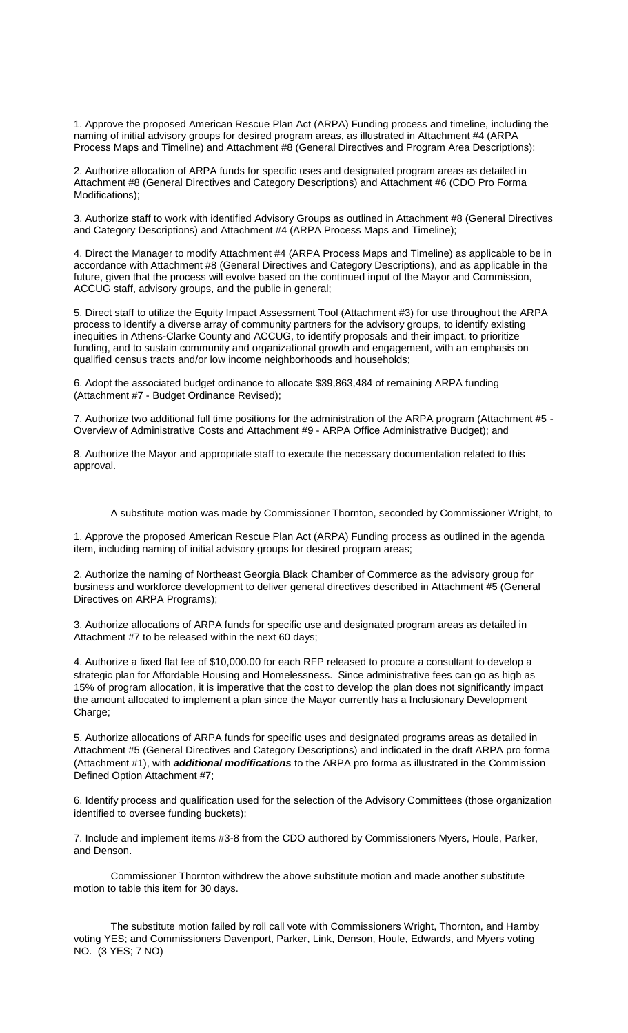1. Approve the proposed American Rescue Plan Act (ARPA) Funding process and timeline, including the naming of initial advisory groups for desired program areas, as illustrated in Attachment #4 (ARPA Process Maps and Timeline) and Attachment #8 (General Directives and Program Area Descriptions);

2. Authorize allocation of ARPA funds for specific uses and designated program areas as detailed in Attachment #8 (General Directives and Category Descriptions) and Attachment #6 (CDO Pro Forma Modifications);

3. Authorize staff to work with identified Advisory Groups as outlined in Attachment #8 (General Directives and Category Descriptions) and Attachment #4 (ARPA Process Maps and Timeline);

4. Direct the Manager to modify Attachment #4 (ARPA Process Maps and Timeline) as applicable to be in accordance with Attachment #8 (General Directives and Category Descriptions), and as applicable in the future, given that the process will evolve based on the continued input of the Mayor and Commission, ACCUG staff, advisory groups, and the public in general;

5. Direct staff to utilize the Equity Impact Assessment Tool (Attachment #3) for use throughout the ARPA process to identify a diverse array of community partners for the advisory groups, to identify existing inequities in Athens-Clarke County and ACCUG, to identify proposals and their impact, to prioritize funding, and to sustain community and organizational growth and engagement, with an emphasis on qualified census tracts and/or low income neighborhoods and households;

6. Adopt the associated budget ordinance to allocate \$39,863,484 of remaining ARPA funding (Attachment #7 - Budget Ordinance Revised);

7. Authorize two additional full time positions for the administration of the ARPA program (Attachment #5 - Overview of Administrative Costs and Attachment #9 - ARPA Office Administrative Budget); and

8. Authorize the Mayor and appropriate staff to execute the necessary documentation related to this approval.

A substitute motion was made by Commissioner Thornton, seconded by Commissioner Wright, to

1. Approve the proposed American Rescue Plan Act (ARPA) Funding process as outlined in the agenda item, including naming of initial advisory groups for desired program areas;

2. Authorize the naming of Northeast Georgia Black Chamber of Commerce as the advisory group for business and workforce development to deliver general directives described in Attachment #5 (General Directives on ARPA Programs);

3. Authorize allocations of ARPA funds for specific use and designated program areas as detailed in Attachment #7 to be released within the next 60 days;

4. Authorize a fixed flat fee of \$10,000.00 for each RFP released to procure a consultant to develop a strategic plan for Affordable Housing and Homelessness. Since administrative fees can go as high as 15% of program allocation, it is imperative that the cost to develop the plan does not significantly impact the amount allocated to implement a plan since the Mayor currently has a Inclusionary Development Charge;

5. Authorize allocations of ARPA funds for specific uses and designated programs areas as detailed in Attachment #5 (General Directives and Category Descriptions) and indicated in the draft ARPA pro forma (Attachment #1), with *additional modifications* to the ARPA pro forma as illustrated in the Commission Defined Option Attachment #7;

6. Identify process and qualification used for the selection of the Advisory Committees (those organization identified to oversee funding buckets);

7. Include and implement items #3-8 from the CDO authored by Commissioners Myers, Houle, Parker, and Denson.

Commissioner Thornton withdrew the above substitute motion and made another substitute motion to table this item for 30 days.

The substitute motion failed by roll call vote with Commissioners Wright, Thornton, and Hamby voting YES; and Commissioners Davenport, Parker, Link, Denson, Houle, Edwards, and Myers voting NO. (3 YES; 7 NO)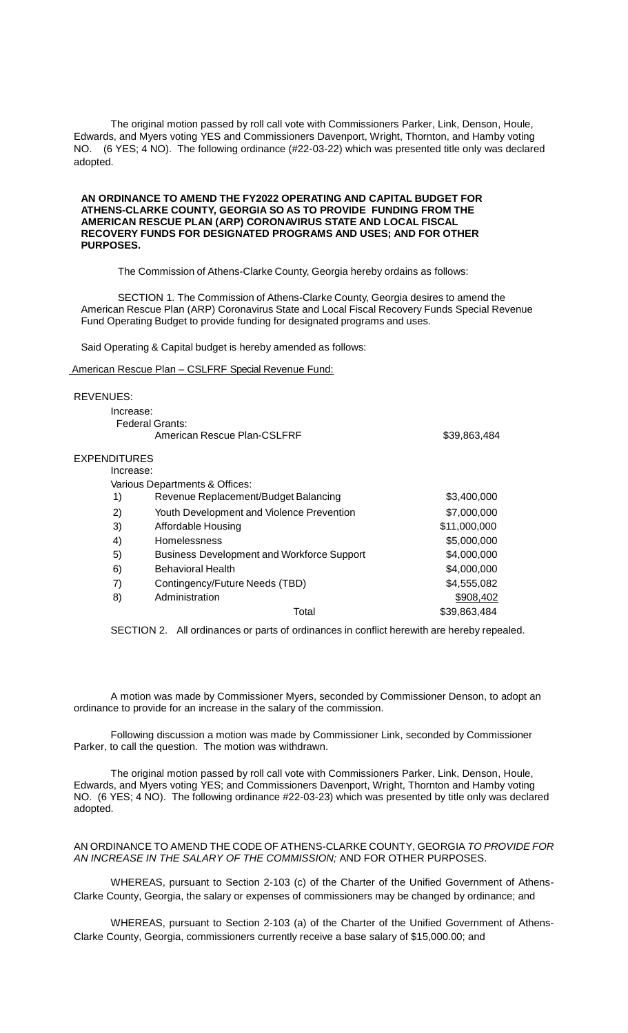The original motion passed by roll call vote with Commissioners Parker, Link, Denson, Houle, Edwards, and Myers voting YES and Commissioners Davenport, Wright, Thornton, and Hamby voting NO. (6 YES; 4 NO). The following ordinance (#22-03-22) which was presented title only was declared adopted.

### **AN ORDINANCE TO AMEND THE FY2022 OPERATING AND CAPITAL BUDGET FOR ATHENS-CLARKE COUNTY, GEORGIA SO AS TO PROVIDE FUNDING FROM THE AMERICAN RESCUE PLAN (ARP) CORONAVIRUS STATE AND LOCAL FISCAL RECOVERY FUNDS FOR DESIGNATED PROGRAMS AND USES; AND FOR OTHER PURPOSES.**

The Commission of Athens-Clarke County, Georgia hereby ordains as follows:

SECTION 1. The Commission of Athens-Clarke County, Georgia desires to amend the American Rescue Plan (ARP) Coronavirus State and Local Fiscal Recovery Funds Special Revenue Fund Operating Budget to provide funding for designated programs and uses.

Said Operating & Capital budget is hereby amended as follows:

American Rescue Plan – CSLFRF Special Revenue Fund:

#### REVENUES:

| Increase:           |                                                   |              |
|---------------------|---------------------------------------------------|--------------|
|                     | Federal Grants:                                   |              |
|                     | American Rescue Plan-CSLFRF                       | \$39,863,484 |
| <b>EXPENDITURES</b> |                                                   |              |
| Increase:           |                                                   |              |
|                     | Various Departments & Offices:                    |              |
| 1)                  | Revenue Replacement/Budget Balancing              | \$3,400,000  |
| 2)                  | Youth Development and Violence Prevention         | \$7,000,000  |
| 3)                  | Affordable Housing                                | \$11,000,000 |
| 4)                  | Homelessness                                      | \$5,000,000  |
| 5)                  | <b>Business Development and Workforce Support</b> | \$4,000,000  |
| 6)                  | <b>Behavioral Health</b>                          | \$4,000,000  |
| 7)                  | Contingency/Future Needs (TBD)                    | \$4,555,082  |
| 8)                  | Administration                                    | \$908,402    |
|                     | Total                                             | \$39,863,484 |

SECTION 2. All ordinances or parts of ordinances in conflict herewith are hereby repealed.

A motion was made by Commissioner Myers, seconded by Commissioner Denson, to adopt an ordinance to provide for an increase in the salary of the commission.

Following discussion a motion was made by Commissioner Link, seconded by Commissioner Parker, to call the question. The motion was withdrawn.

The original motion passed by roll call vote with Commissioners Parker, Link, Denson, Houle, Edwards, and Myers voting YES; and Commissioners Davenport, Wright, Thornton and Hamby voting NO. (6 YES; 4 NO). The following ordinance #22-03-23) which was presented by title only was declared adopted.

#### AN ORDINANCE TO AMEND THE CODE OF ATHENS-CLARKE COUNTY, GEORGIA *TO PROVIDE FOR AN INCREASE IN THE SALARY OF THE COMMISSION;* AND FOR OTHER PURPOSES.

WHEREAS, pursuant to Section 2-103 (c) of the Charter of the Unified Government of Athens-Clarke County, Georgia, the salary or expenses of commissioners may be changed by ordinance; and

WHEREAS, pursuant to Section 2-103 (a) of the Charter of the Unified Government of Athens-Clarke County, Georgia, commissioners currently receive a base salary of \$15,000.00; and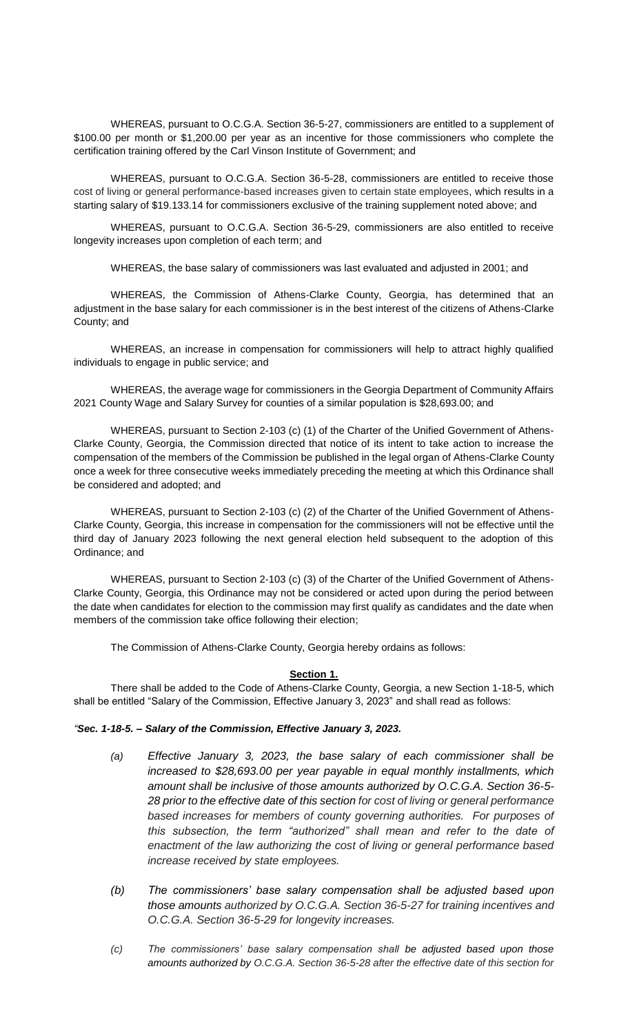WHEREAS, pursuant to O.C.G.A. Section 36-5-27, commissioners are entitled to a supplement of \$100.00 per month or \$1,200.00 per year as an incentive for those commissioners who complete the certification training offered by the Carl Vinson Institute of Government; and

WHEREAS, pursuant to O.C.G.A. Section 36-5-28, commissioners are entitled to receive those cost of living or general performance-based increases given to certain state employees, which results in a starting salary of \$19.133.14 for commissioners exclusive of the training supplement noted above; and

WHEREAS, pursuant to O.C.G.A. Section 36-5-29, commissioners are also entitled to receive longevity increases upon completion of each term; and

WHEREAS, the base salary of commissioners was last evaluated and adjusted in 2001; and

WHEREAS, the Commission of Athens-Clarke County, Georgia, has determined that an adjustment in the base salary for each commissioner is in the best interest of the citizens of Athens-Clarke County; and

WHEREAS, an increase in compensation for commissioners will help to attract highly qualified individuals to engage in public service; and

WHEREAS, the average wage for commissioners in the Georgia Department of Community Affairs 2021 County Wage and Salary Survey for counties of a similar population is \$28,693.00; and

WHEREAS, pursuant to Section 2-103 (c) (1) of the Charter of the Unified Government of Athens-Clarke County, Georgia, the Commission directed that notice of its intent to take action to increase the compensation of the members of the Commission be published in the legal organ of Athens-Clarke County once a week for three consecutive weeks immediately preceding the meeting at which this Ordinance shall be considered and adopted; and

WHEREAS, pursuant to Section 2-103 (c) (2) of the Charter of the Unified Government of Athens-Clarke County, Georgia, this increase in compensation for the commissioners will not be effective until the third day of January 2023 following the next general election held subsequent to the adoption of this Ordinance; and

WHEREAS, pursuant to Section 2-103 (c) (3) of the Charter of the Unified Government of Athens-Clarke County, Georgia, this Ordinance may not be considered or acted upon during the period between the date when candidates for election to the commission may first qualify as candidates and the date when members of the commission take office following their election;

The Commission of Athens-Clarke County, Georgia hereby ordains as follows:

## **Section 1.**

There shall be added to the Code of Athens-Clarke County, Georgia, a new Section 1-18-5, which shall be entitled "Salary of the Commission, Effective January 3, 2023" and shall read as follows:

## *"Sec. 1-18-5. – Salary of the Commission, Effective January 3, 2023.*

- *(a) Effective January 3, 2023, the base salary of each commissioner shall be increased to \$28,693.00 per year payable in equal monthly installments, which amount shall be inclusive of those amounts authorized by O.C.G.A. Section 36-5- 28 prior to the effective date of this section for cost of living or general performance based increases for members of county governing authorities. For purposes of this subsection, the term "authorized" shall mean and refer to the date of enactment of the law authorizing the cost of living or general performance based increase received by state employees.*
- *(b) The commissioners' base salary compensation shall be adjusted based upon those amounts authorized by O.C.G.A. Section 36-5-27 for training incentives and O.C.G.A. Section 36-5-29 for longevity increases.*
- *(c) The commissioners' base salary compensation shall be adjusted based upon those amounts authorized by O.C.G.A. Section 36-5-28 after the effective date of this section for*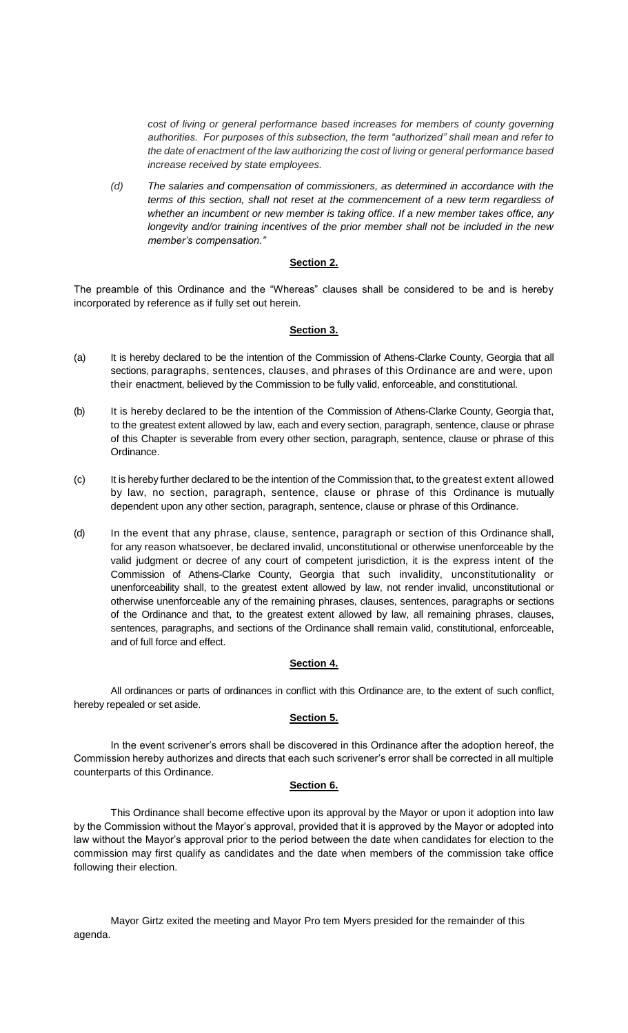*cost of living or general performance based increases for members of county governing authorities. For purposes of this subsection, the term "authorized" shall mean and refer to the date of enactment of the law authorizing the cost of living or general performance based increase received by state employees.*

*(d) The salaries and compensation of commissioners, as determined in accordance with the terms of this section, shall not reset at the commencement of a new term regardless of whether an incumbent or new member is taking office. If a new member takes office, any longevity and/or training incentives of the prior member shall not be included in the new member's compensation."* 

## **Section 2.**

The preamble of this Ordinance and the "Whereas" clauses shall be considered to be and is hereby incorporated by reference as if fully set out herein.

# **Section 3.**

- (a) It is hereby declared to be the intention of the Commission of Athens-Clarke County, Georgia that all sections, paragraphs, sentences, clauses, and phrases of this Ordinance are and were, upon their enactment, believed by the Commission to be fully valid, enforceable, and constitutional.
- (b) It is hereby declared to be the intention of the Commission of Athens-Clarke County, Georgia that, to the greatest extent allowed by law, each and every section, paragraph, sentence, clause or phrase of this Chapter is severable from every other section, paragraph, sentence, clause or phrase of this Ordinance.
- (c) It is hereby further declared to be the intention of the Commission that, to the greatest extent allowed by law, no section, paragraph, sentence, clause or phrase of this Ordinance is mutually dependent upon any other section, paragraph, sentence, clause or phrase of this Ordinance.
- (d) In the event that any phrase, clause, sentence, paragraph or section of this Ordinance shall, for any reason whatsoever, be declared invalid, unconstitutional or otherwise unenforceable by the valid judgment or decree of any court of competent jurisdiction, it is the express intent of the Commission of Athens-Clarke County, Georgia that such invalidity, unconstitutionality or unenforceability shall, to the greatest extent allowed by law, not render invalid, unconstitutional or otherwise unenforceable any of the remaining phrases, clauses, sentences, paragraphs or sections of the Ordinance and that, to the greatest extent allowed by law, all remaining phrases, clauses, sentences, paragraphs, and sections of the Ordinance shall remain valid, constitutional, enforceable, and of full force and effect.

## **Section 4.**

All ordinances or parts of ordinances in conflict with this Ordinance are, to the extent of such conflict, hereby repealed or set aside.

# **Section 5.**

In the event scrivener's errors shall be discovered in this Ordinance after the adoption hereof, the Commission hereby authorizes and directs that each such scrivener's error shall be corrected in all multiple counterparts of this Ordinance.

## **Section 6.**

This Ordinance shall become effective upon its approval by the Mayor or upon it adoption into law by the Commission without the Mayor's approval, provided that it is approved by the Mayor or adopted into law without the Mayor's approval prior to the period between the date when candidates for election to the commission may first qualify as candidates and the date when members of the commission take office following their election.

Mayor Girtz exited the meeting and Mayor Pro tem Myers presided for the remainder of this agenda.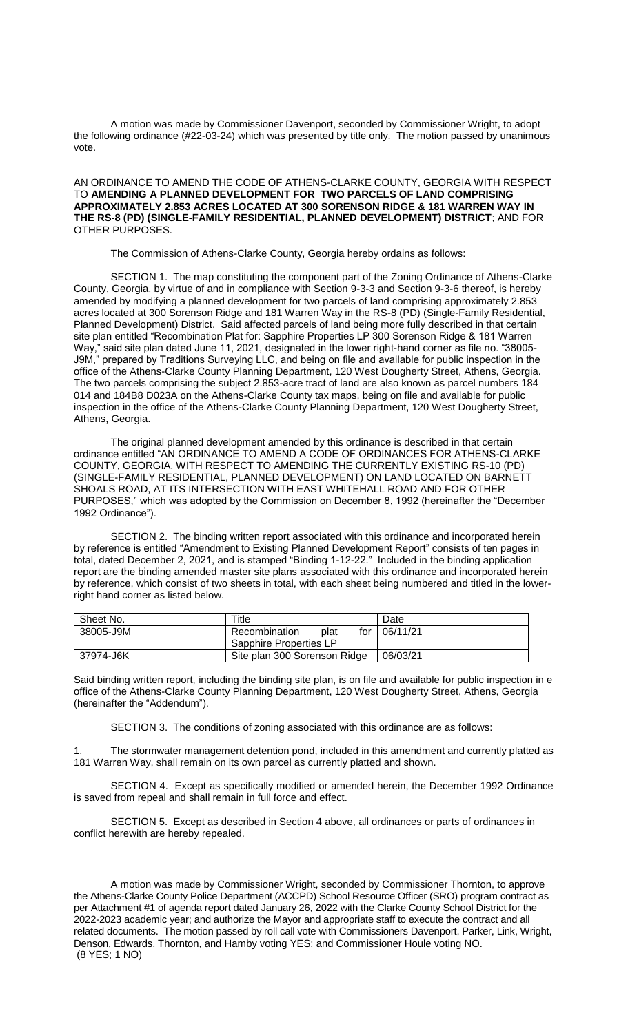A motion was made by Commissioner Davenport, seconded by Commissioner Wright, to adopt the following ordinance (#22-03-24) which was presented by title only. The motion passed by unanimous vote.

AN ORDINANCE TO AMEND THE CODE OF ATHENS-CLARKE COUNTY, GEORGIA WITH RESPECT TO **AMENDING A PLANNED DEVELOPMENT FOR TWO PARCELS OF LAND COMPRISING APPROXIMATELY 2.853 ACRES LOCATED AT 300 SORENSON RIDGE & 181 WARREN WAY IN THE RS-8 (PD) (SINGLE-FAMILY RESIDENTIAL, PLANNED DEVELOPMENT) DISTRICT**; AND FOR OTHER PURPOSES.

The Commission of Athens-Clarke County, Georgia hereby ordains as follows:

SECTION 1. The map constituting the component part of the Zoning Ordinance of Athens-Clarke County, Georgia, by virtue of and in compliance with Section 9-3-3 and Section 9-3-6 thereof, is hereby amended by modifying a planned development for two parcels of land comprising approximately 2.853 acres located at 300 Sorenson Ridge and 181 Warren Way in the RS-8 (PD) (Single-Family Residential, Planned Development) District. Said affected parcels of land being more fully described in that certain site plan entitled "Recombination Plat for: Sapphire Properties LP 300 Sorenson Ridge & 181 Warren Way," said site plan dated June 11, 2021, designated in the lower right-hand corner as file no. "38005- J9M," prepared by Traditions Surveying LLC, and being on file and available for public inspection in the office of the Athens-Clarke County Planning Department, 120 West Dougherty Street, Athens, Georgia. The two parcels comprising the subject 2.853-acre tract of land are also known as parcel numbers 184 014 and 184B8 D023A on the Athens-Clarke County tax maps, being on file and available for public inspection in the office of the Athens-Clarke County Planning Department, 120 West Dougherty Street, Athens, Georgia.

The original planned development amended by this ordinance is described in that certain ordinance entitled "AN ORDINANCE TO AMEND A CODE OF ORDINANCES FOR ATHENS-CLARKE COUNTY, GEORGIA, WITH RESPECT TO AMENDING THE CURRENTLY EXISTING RS-10 (PD) (SINGLE-FAMILY RESIDENTIAL, PLANNED DEVELOPMENT) ON LAND LOCATED ON BARNETT SHOALS ROAD, AT ITS INTERSECTION WITH EAST WHITEHALL ROAD AND FOR OTHER PURPOSES," which was adopted by the Commission on December 8, 1992 (hereinafter the "December 1992 Ordinance").

SECTION 2. The binding written report associated with this ordinance and incorporated herein by reference is entitled "Amendment to Existing Planned Development Report" consists of ten pages in total, dated December 2, 2021, and is stamped "Binding 1-12-22." Included in the binding application report are the binding amended master site plans associated with this ordinance and incorporated herein by reference, which consist of two sheets in total, with each sheet being numbered and titled in the lowerright hand corner as listed below.

| Sheet No. | ™itle                        | Date     |
|-----------|------------------------------|----------|
| 38005-J9M | Recombination<br>plat<br>for | 06/11/21 |
|           | Sapphire Properties LP       |          |
| 37974-J6K | Site plan 300 Sorenson Ridge | 06/03/21 |

Said binding written report, including the binding site plan, is on file and available for public inspection in e office of the Athens-Clarke County Planning Department, 120 West Dougherty Street, Athens, Georgia (hereinafter the "Addendum").

SECTION 3. The conditions of zoning associated with this ordinance are as follows:

The stormwater management detention pond, included in this amendment and currently platted as 181 Warren Way, shall remain on its own parcel as currently platted and shown.

SECTION 4. Except as specifically modified or amended herein, the December 1992 Ordinance is saved from repeal and shall remain in full force and effect.

SECTION 5. Except as described in Section 4 above, all ordinances or parts of ordinances in conflict herewith are hereby repealed.

A motion was made by Commissioner Wright, seconded by Commissioner Thornton, to approve the Athens-Clarke County Police Department (ACCPD) School Resource Officer (SRO) program contract as per Attachment #1 of agenda report dated January 26, 2022 with the Clarke County School District for the 2022-2023 academic year; and authorize the Mayor and appropriate staff to execute the contract and all related documents. The motion passed by roll call vote with Commissioners Davenport, Parker, Link, Wright, Denson, Edwards, Thornton, and Hamby voting YES; and Commissioner Houle voting NO. (8 YES; 1 NO)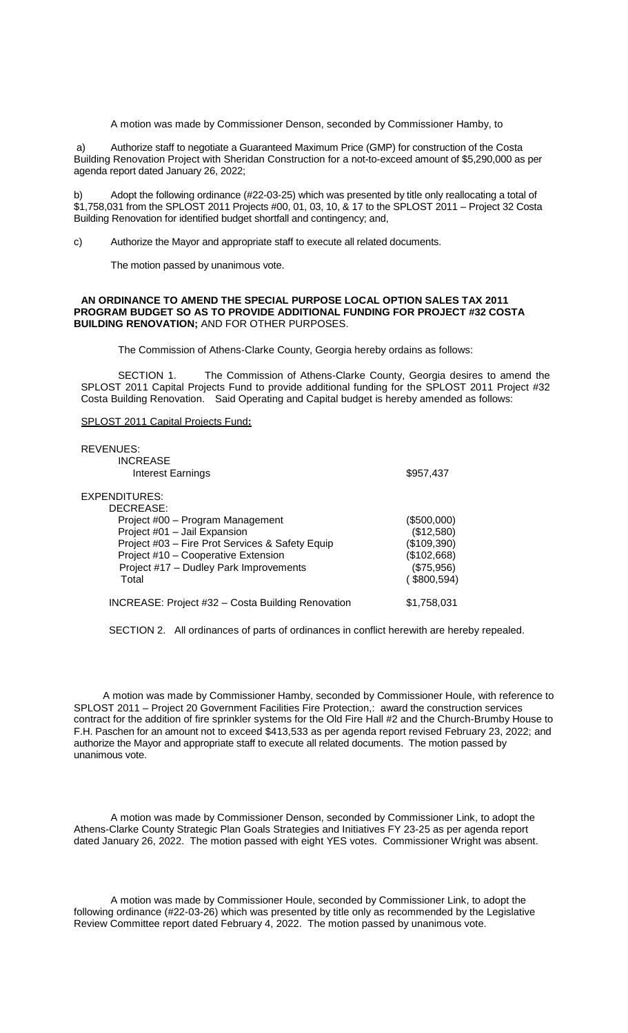A motion was made by Commissioner Denson, seconded by Commissioner Hamby, to

a) Authorize staff to negotiate a Guaranteed Maximum Price (GMP) for construction of the Costa Building Renovation Project with Sheridan Construction for a not-to-exceed amount of \$5,290,000 as per agenda report dated January 26, 2022;

Adopt the following ordinance (#22-03-25) which was presented by title only reallocating a total of \$1,758,031 from the SPLOST 2011 Projects #00, 01, 03, 10, & 17 to the SPLOST 2011 – Project 32 Costa Building Renovation for identified budget shortfall and contingency; and,

c) Authorize the Mayor and appropriate staff to execute all related documents.

The motion passed by unanimous vote.

#### **AN ORDINANCE TO AMEND THE SPECIAL PURPOSE LOCAL OPTION SALES TAX 2011 PROGRAM BUDGET SO AS TO PROVIDE ADDITIONAL FUNDING FOR PROJECT #32 COSTA BUILDING RENOVATION;** AND FOR OTHER PURPOSES.

The Commission of Athens-Clarke County, Georgia hereby ordains as follows:

SECTION 1. The Commission of Athens-Clarke County, Georgia desires to amend the SPLOST 2011 Capital Projects Fund to provide additional funding for the SPLOST 2011 Project #32 Costa Building Renovation. Said Operating and Capital budget is hereby amended as follows:

#### SPLOST 2011 Capital Projects Fund**:**

| <b>REVENUES:</b>                                         |             |
|----------------------------------------------------------|-------------|
| <b>INCREASE</b>                                          |             |
| Interest Earnings                                        | \$957,437   |
| EXPENDITURES:                                            |             |
| DECREASE:                                                |             |
| Project #00 - Program Management                         | (\$500,000) |
| Project #01 - Jail Expansion                             | (\$12,580)  |
| Project #03 - Fire Prot Services & Safety Equip          | (\$109,390) |
| Project #10 - Cooperative Extension                      | (\$102,668) |
| Project #17 - Dudley Park Improvements                   | (\$75,956)  |
| Total                                                    | (\$800,594) |
| <b>INCREASE: Project #32 - Costa Building Renovation</b> | \$1.758.031 |

SECTION 2. All ordinances of parts of ordinances in conflict herewith are hereby repealed.

A motion was made by Commissioner Hamby, seconded by Commissioner Houle, with reference to SPLOST 2011 – Project 20 Government Facilities Fire Protection,: award the construction services contract for the addition of fire sprinkler systems for the Old Fire Hall #2 and the Church-Brumby House to F.H. Paschen for an amount not to exceed \$413,533 as per agenda report revised February 23, 2022; and authorize the Mayor and appropriate staff to execute all related documents. The motion passed by unanimous vote.

A motion was made by Commissioner Denson, seconded by Commissioner Link, to adopt the Athens-Clarke County Strategic Plan Goals Strategies and Initiatives FY 23-25 as per agenda report dated January 26, 2022. The motion passed with eight YES votes. Commissioner Wright was absent.

A motion was made by Commissioner Houle, seconded by Commissioner Link, to adopt the following ordinance (#22-03-26) which was presented by title only as recommended by the Legislative Review Committee report dated February 4, 2022. The motion passed by unanimous vote.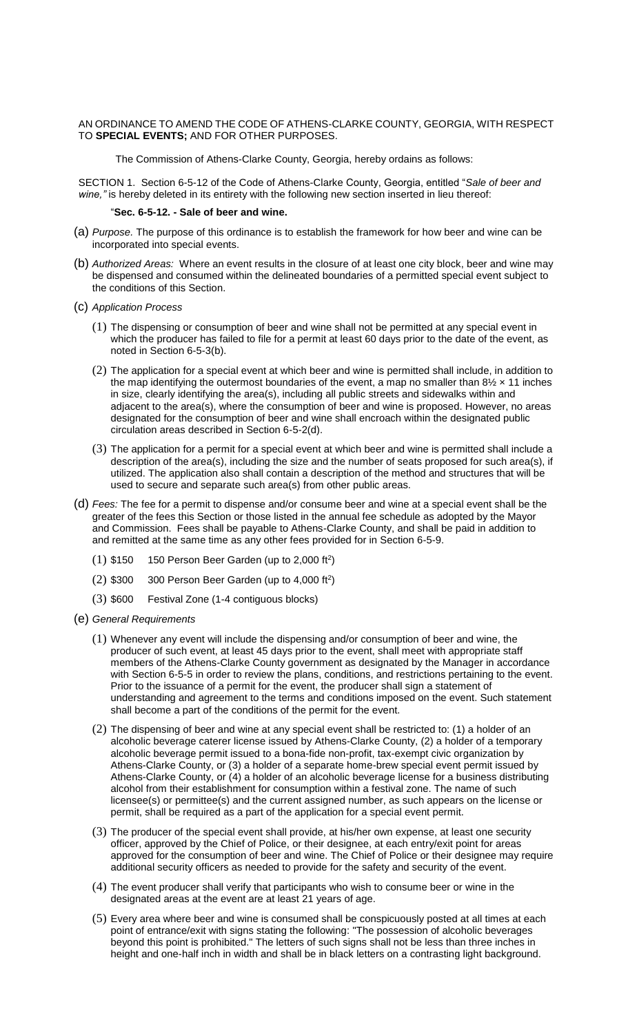### AN ORDINANCE TO AMEND THE CODE OF ATHENS-CLARKE COUNTY, GEORGIA, WITH RESPECT TO **SPECIAL EVENTS;** AND FOR OTHER PURPOSES.

The Commission of Athens-Clarke County, Georgia, hereby ordains as follows:

SECTION 1. Section 6-5-12 of the Code of Athens-Clarke County, Georgia, entitled "*Sale of beer and wine,"* is hereby deleted in its entirety with the following new section inserted in lieu thereof:

### "**Sec. 6-5-12. - Sale of beer and wine.**

- (a) *Purpose.* The purpose of this ordinance is to establish the framework for how beer and wine can be incorporated into special events.
- (b) *Authorized Areas:* Where an event results in the closure of at least one city block, beer and wine may be dispensed and consumed within the delineated boundaries of a permitted special event subject to the conditions of this Section.
- (c) *Application Process*
	- (1) The dispensing or consumption of beer and wine shall not be permitted at any special event in which the producer has failed to file for a permit at least 60 days prior to the date of the event, as noted in Section 6-5-3(b).
	- (2) The application for a special event at which beer and wine is permitted shall include, in addition to the map identifying the outermost boundaries of the event, a map no smaller than  $8\frac{1}{2} \times 11$  inches in size, clearly identifying the area(s), including all public streets and sidewalks within and adjacent to the area(s), where the consumption of beer and wine is proposed. However, no areas designated for the consumption of beer and wine shall encroach within the designated public circulation areas described in Section 6-5-2(d).
	- (3) The application for a permit for a special event at which beer and wine is permitted shall include a description of the area(s), including the size and the number of seats proposed for such area(s), if utilized. The application also shall contain a description of the method and structures that will be used to secure and separate such area(s) from other public areas.
- (d) *Fees:* The fee for a permit to dispense and/or consume beer and wine at a special event shall be the greater of the fees this Section or those listed in the annual fee schedule as adopted by the Mayor and Commission. Fees shall be payable to Athens-Clarke County, and shall be paid in addition to and remitted at the same time as any other fees provided for in Section 6-5-9.
	- $(1)$  \$150 150 Person Beer Garden (up to 2,000 ft<sup>2</sup>)
	- $(2)$  \$300 300 Person Beer Garden (up to 4,000 ft<sup>2</sup>)
	- (3) \$600 Festival Zone (1-4 contiguous blocks)
- (e) *General Requirements*
	- (1) Whenever any event will include the dispensing and/or consumption of beer and wine, the producer of such event, at least 45 days prior to the event, shall meet with appropriate staff members of the Athens-Clarke County government as designated by the Manager in accordance with Section 6-5-5 in order to review the plans, conditions, and restrictions pertaining to the event. Prior to the issuance of a permit for the event, the producer shall sign a statement of understanding and agreement to the terms and conditions imposed on the event. Such statement shall become a part of the conditions of the permit for the event.
	- (2) The dispensing of beer and wine at any special event shall be restricted to: (1) a holder of an alcoholic beverage caterer license issued by Athens-Clarke County, (2) a holder of a temporary alcoholic beverage permit issued to a bona-fide non-profit, tax-exempt civic organization by Athens-Clarke County, or (3) a holder of a separate home-brew special event permit issued by Athens-Clarke County, or (4) a holder of an alcoholic beverage license for a business distributing alcohol from their establishment for consumption within a festival zone. The name of such licensee(s) or permittee(s) and the current assigned number, as such appears on the license or permit, shall be required as a part of the application for a special event permit.
	- (3) The producer of the special event shall provide, at his/her own expense, at least one security officer, approved by the Chief of Police, or their designee, at each entry/exit point for areas approved for the consumption of beer and wine. The Chief of Police or their designee may require additional security officers as needed to provide for the safety and security of the event.
	- (4) The event producer shall verify that participants who wish to consume beer or wine in the designated areas at the event are at least 21 years of age.
	- (5) Every area where beer and wine is consumed shall be conspicuously posted at all times at each point of entrance/exit with signs stating the following: "The possession of alcoholic beverages beyond this point is prohibited." The letters of such signs shall not be less than three inches in height and one-half inch in width and shall be in black letters on a contrasting light background.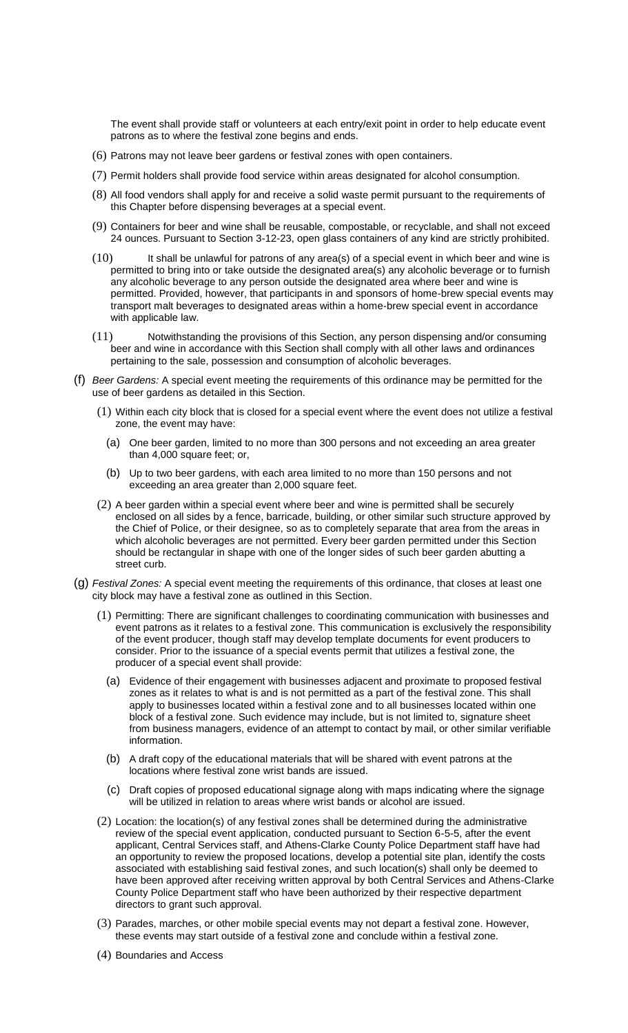The event shall provide staff or volunteers at each entry/exit point in order to help educate event patrons as to where the festival zone begins and ends.

- (6) Patrons may not leave beer gardens or festival zones with open containers.
- (7) Permit holders shall provide food service within areas designated for alcohol consumption.
- (8) All food vendors shall apply for and receive a solid waste permit pursuant to the requirements of this Chapter before dispensing beverages at a special event.
- (9) Containers for beer and wine shall be reusable, compostable, or recyclable, and shall not exceed 24 ounces. Pursuant to Section 3-12-23, open glass containers of any kind are strictly prohibited.
- $(10)$  It shall be unlawful for patrons of any area(s) of a special event in which beer and wine is permitted to bring into or take outside the designated area(s) any alcoholic beverage or to furnish any alcoholic beverage to any person outside the designated area where beer and wine is permitted. Provided, however, that participants in and sponsors of home-brew special events may transport malt beverages to designated areas within a home-brew special event in accordance with applicable law.
- (11) Notwithstanding the provisions of this Section, any person dispensing and/or consuming beer and wine in accordance with this Section shall comply with all other laws and ordinances pertaining to the sale, possession and consumption of alcoholic beverages.
- (f) *Beer Gardens:* A special event meeting the requirements of this ordinance may be permitted for the use of beer gardens as detailed in this Section.
	- (1) Within each city block that is closed for a special event where the event does not utilize a festival zone, the event may have:
		- (a) One beer garden, limited to no more than 300 persons and not exceeding an area greater than 4,000 square feet; or,
		- (b) Up to two beer gardens, with each area limited to no more than 150 persons and not exceeding an area greater than 2,000 square feet.
	- (2) A beer garden within a special event where beer and wine is permitted shall be securely enclosed on all sides by a fence, barricade, building, or other similar such structure approved by the Chief of Police, or their designee, so as to completely separate that area from the areas in which alcoholic beverages are not permitted. Every beer garden permitted under this Section should be rectangular in shape with one of the longer sides of such beer garden abutting a street curb.
- (g) *Festival Zones:* A special event meeting the requirements of this ordinance, that closes at least one city block may have a festival zone as outlined in this Section.
	- (1) Permitting: There are significant challenges to coordinating communication with businesses and event patrons as it relates to a festival zone. This communication is exclusively the responsibility of the event producer, though staff may develop template documents for event producers to consider. Prior to the issuance of a special events permit that utilizes a festival zone, the producer of a special event shall provide:
		- (a) Evidence of their engagement with businesses adjacent and proximate to proposed festival zones as it relates to what is and is not permitted as a part of the festival zone. This shall apply to businesses located within a festival zone and to all businesses located within one block of a festival zone. Such evidence may include, but is not limited to, signature sheet from business managers, evidence of an attempt to contact by mail, or other similar verifiable information.
		- (b) A draft copy of the educational materials that will be shared with event patrons at the locations where festival zone wrist bands are issued.
		- (c) Draft copies of proposed educational signage along with maps indicating where the signage will be utilized in relation to areas where wrist bands or alcohol are issued.
	- (2) Location: the location(s) of any festival zones shall be determined during the administrative review of the special event application, conducted pursuant to Section 6-5-5, after the event applicant, Central Services staff, and Athens-Clarke County Police Department staff have had an opportunity to review the proposed locations, develop a potential site plan, identify the costs associated with establishing said festival zones, and such location(s) shall only be deemed to have been approved after receiving written approval by both Central Services and Athens-Clarke County Police Department staff who have been authorized by their respective department directors to grant such approval.
	- (3) Parades, marches, or other mobile special events may not depart a festival zone. However, these events may start outside of a festival zone and conclude within a festival zone.
	- (4) Boundaries and Access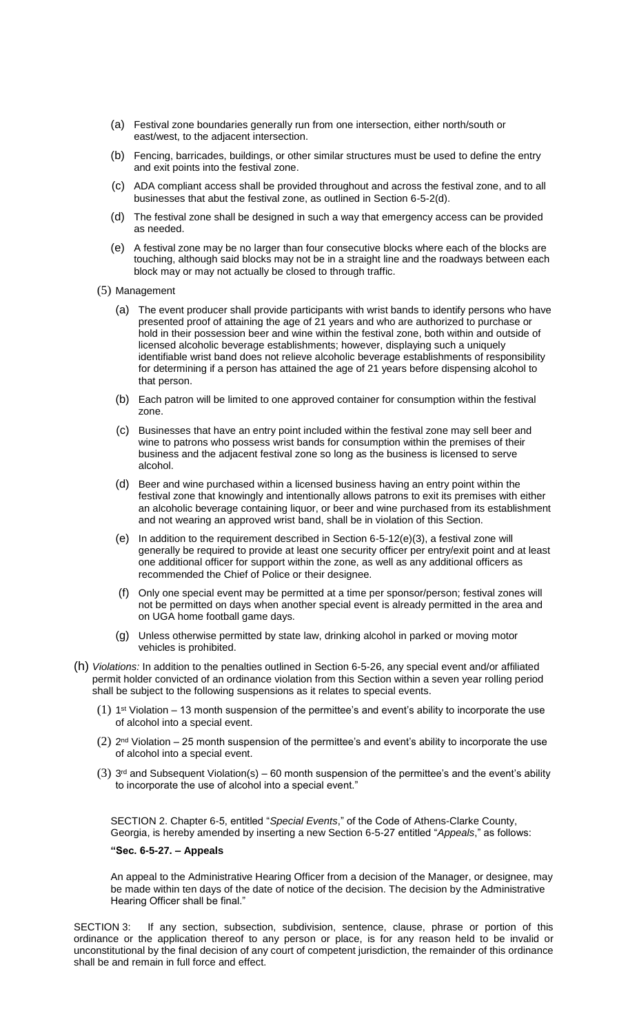- (a) Festival zone boundaries generally run from one intersection, either north/south or east/west, to the adjacent intersection.
- (b) Fencing, barricades, buildings, or other similar structures must be used to define the entry and exit points into the festival zone.
- (c) ADA compliant access shall be provided throughout and across the festival zone, and to all businesses that abut the festival zone, as outlined in Section 6-5-2(d).
- (d) The festival zone shall be designed in such a way that emergency access can be provided as needed.
- (e) A festival zone may be no larger than four consecutive blocks where each of the blocks are touching, although said blocks may not be in a straight line and the roadways between each block may or may not actually be closed to through traffic.
- (5) Management
	- (a) The event producer shall provide participants with wrist bands to identify persons who have presented proof of attaining the age of 21 years and who are authorized to purchase or hold in their possession beer and wine within the festival zone, both within and outside of licensed alcoholic beverage establishments; however, displaying such a uniquely identifiable wrist band does not relieve alcoholic beverage establishments of responsibility for determining if a person has attained the age of 21 years before dispensing alcohol to that person.
	- (b) Each patron will be limited to one approved container for consumption within the festival zone.
	- (c) Businesses that have an entry point included within the festival zone may sell beer and wine to patrons who possess wrist bands for consumption within the premises of their business and the adjacent festival zone so long as the business is licensed to serve alcohol.
	- (d) Beer and wine purchased within a licensed business having an entry point within the festival zone that knowingly and intentionally allows patrons to exit its premises with either an alcoholic beverage containing liquor, or beer and wine purchased from its establishment and not wearing an approved wrist band, shall be in violation of this Section.
	- (e) In addition to the requirement described in Section  $6-5-12(e)(3)$ , a festival zone will generally be required to provide at least one security officer per entry/exit point and at least one additional officer for support within the zone, as well as any additional officers as recommended the Chief of Police or their designee.
	- (f) Only one special event may be permitted at a time per sponsor/person; festival zones will not be permitted on days when another special event is already permitted in the area and on UGA home football game days.
	- (g) Unless otherwise permitted by state law, drinking alcohol in parked or moving motor vehicles is prohibited.
- (h) *Violations:* In addition to the penalties outlined in Section 6-5-26, any special event and/or affiliated permit holder convicted of an ordinance violation from this Section within a seven year rolling period shall be subject to the following suspensions as it relates to special events.
	- $(1)$  1<sup>st</sup> Violation 13 month suspension of the permittee's and event's ability to incorporate the use of alcohol into a special event.
	- $(2)$  2<sup>nd</sup> Violation 25 month suspension of the permittee's and event's ability to incorporate the use of alcohol into a special event.
	- $(3)$  3<sup>rd</sup> and Subsequent Violation(s) 60 month suspension of the permittee's and the event's ability to incorporate the use of alcohol into a special event."

SECTION 2. Chapter 6-5, entitled "*Special Events*," of the Code of Athens-Clarke County, Georgia, is hereby amended by inserting a new Section 6-5-27 entitled "*Appeals*," as follows:

### **"Sec. 6-5-27. – Appeals**

An appeal to the Administrative Hearing Officer from a decision of the Manager, or designee, may be made within ten days of the date of notice of the decision. The decision by the Administrative Hearing Officer shall be final."

SECTION 3: If any section, subsection, subdivision, sentence, clause, phrase or portion of this ordinance or the application thereof to any person or place, is for any reason held to be invalid or unconstitutional by the final decision of any court of competent jurisdiction, the remainder of this ordinance shall be and remain in full force and effect.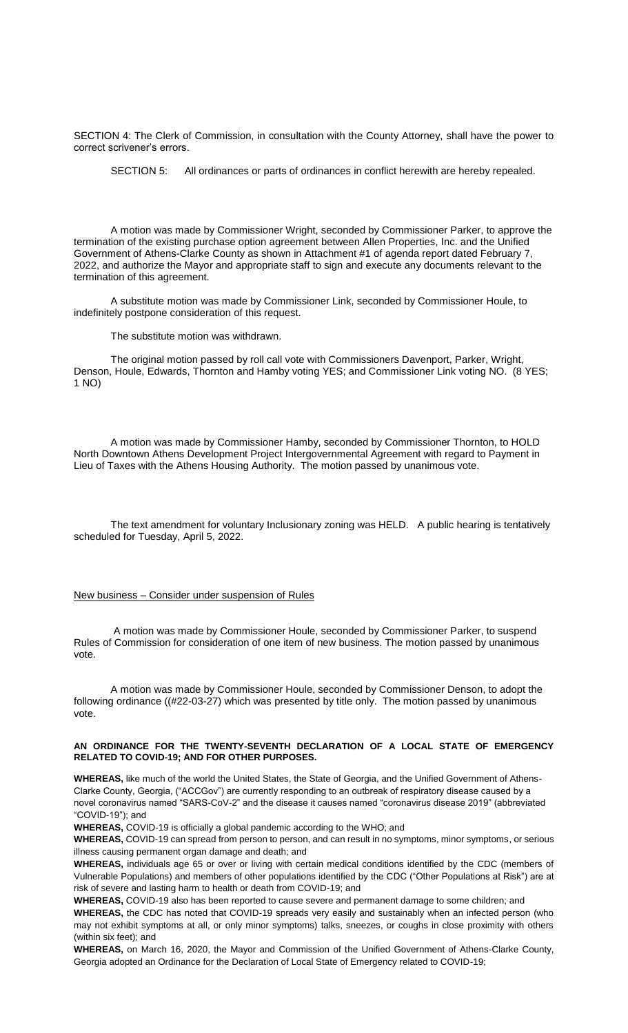SECTION 4: The Clerk of Commission, in consultation with the County Attorney, shall have the power to correct scrivener's errors.

SECTION 5: All ordinances or parts of ordinances in conflict herewith are hereby repealed.

A motion was made by Commissioner Wright, seconded by Commissioner Parker, to approve the termination of the existing purchase option agreement between Allen Properties, Inc. and the Unified Government of Athens-Clarke County as shown in Attachment #1 of agenda report dated February 7, 2022, and authorize the Mayor and appropriate staff to sign and execute any documents relevant to the termination of this agreement.

A substitute motion was made by Commissioner Link, seconded by Commissioner Houle, to indefinitely postpone consideration of this request.

The substitute motion was withdrawn.

The original motion passed by roll call vote with Commissioners Davenport, Parker, Wright, Denson, Houle, Edwards, Thornton and Hamby voting YES; and Commissioner Link voting NO. (8 YES; 1 NO)

A motion was made by Commissioner Hamby, seconded by Commissioner Thornton, to HOLD North Downtown Athens Development Project Intergovernmental Agreement with regard to Payment in Lieu of Taxes with the Athens Housing Authority. The motion passed by unanimous vote.

The text amendment for voluntary Inclusionary zoning was HELD. A public hearing is tentatively scheduled for Tuesday, April 5, 2022.

### New business – Consider under suspension of Rules

A motion was made by Commissioner Houle, seconded by Commissioner Parker, to suspend Rules of Commission for consideration of one item of new business. The motion passed by unanimous vote.

A motion was made by Commissioner Houle, seconded by Commissioner Denson, to adopt the following ordinance ((#22-03-27) which was presented by title only. The motion passed by unanimous vote.

#### **AN ORDINANCE FOR THE TWENTY-SEVENTH DECLARATION OF A LOCAL STATE OF EMERGENCY RELATED TO COVID-19; AND FOR OTHER PURPOSES.**

**WHEREAS,** like much of the world the United States, the State of Georgia, and the Unified Government of Athens-Clarke County, Georgia, ("ACCGov") are currently responding to an outbreak of respiratory disease caused by a novel coronavirus named "SARS-CoV-2" and the disease it causes named "coronavirus disease 2019" (abbreviated "COVID-19"); and

**WHEREAS,** COVID-19 is officially a global pandemic according to the WHO; and

**WHEREAS,** COVID-19 can spread from person to person, and can result in no symptoms, minor symptoms, or serious illness causing permanent organ damage and death; and

**WHEREAS,** individuals age 65 or over or living with certain medical conditions identified by the CDC (members of Vulnerable Populations) and members of other populations identified by the CDC ("Other Populations at Risk") are at risk of severe and lasting harm to health or death from COVID-19; and

**WHEREAS,** COVID-19 also has been reported to cause severe and permanent damage to some children; and **WHEREAS,** the CDC has noted that COVID-19 spreads very easily and sustainably when an infected person (who may not exhibit symptoms at all, or only minor symptoms) talks, sneezes, or coughs in close proximity with others (within six feet); and

**WHEREAS,** on March 16, 2020, the Mayor and Commission of the Unified Government of Athens-Clarke County, Georgia adopted an Ordinance for the Declaration of Local State of Emergency related to COVID-19;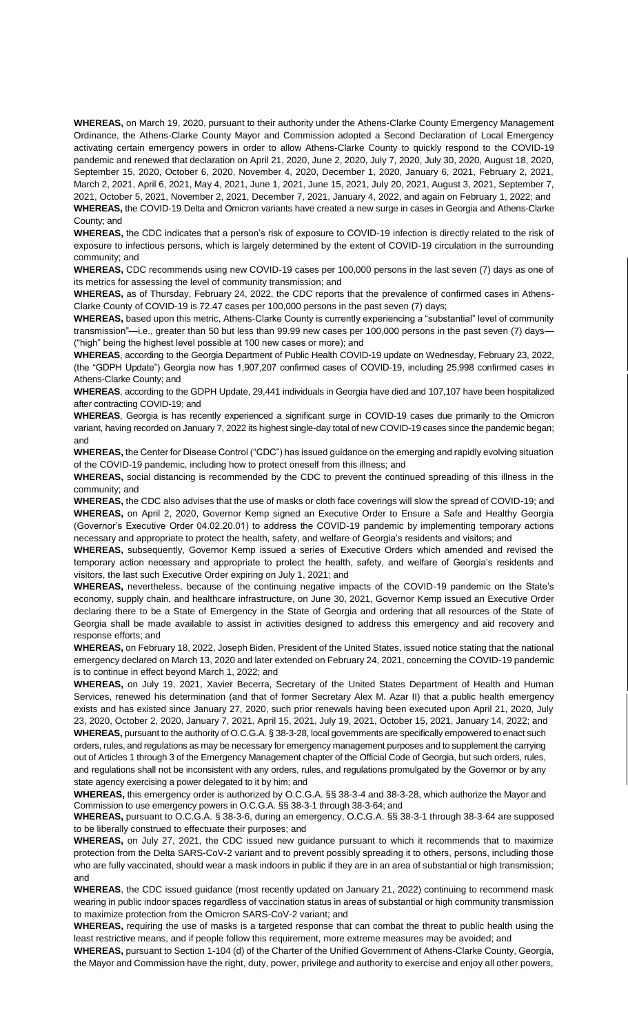**WHEREAS,** on March 19, 2020, pursuant to their authority under the Athens-Clarke County Emergency Management Ordinance, the Athens-Clarke County Mayor and Commission adopted a Second Declaration of Local Emergency activating certain emergency powers in order to allow Athens-Clarke County to quickly respond to the COVID-19 pandemic and renewed that declaration on April 21, 2020, June 2, 2020, July 7, 2020, July 30, 2020, August 18, 2020, September 15, 2020, October 6, 2020, November 4, 2020, December 1, 2020, January 6, 2021, February 2, 2021, March 2, 2021, April 6, 2021, May 4, 2021, June 1, 2021, June 15, 2021, July 20, 2021, August 3, 2021, September 7, 2021, October 5, 2021, November 2, 2021, December 7, 2021, January 4, 2022, and again on February 1, 2022; and **WHEREAS,** the COVID-19 Delta and Omicron variants have created a new surge in cases in Georgia and Athens-Clarke County; and

**WHEREAS,** the CDC indicates that a person's risk of exposure to COVID-19 infection is directly related to the risk of exposure to infectious persons, which is largely determined by the extent of COVID-19 circulation in the surrounding community; and

**WHEREAS,** CDC recommends using new COVID-19 cases per 100,000 persons in the last seven (7) days as one of its metrics for assessing the level of community transmission; and

**WHEREAS,** as of Thursday, February 24, 2022, the CDC reports that the prevalence of confirmed cases in Athens-Clarke County of COVID-19 is 72.47 cases per 100,000 persons in the past seven (7) days;

**WHEREAS,** based upon this metric, Athens-Clarke County is currently experiencing a "substantial" level of community transmission"—i.e., greater than 50 but less than 99.99 new cases per 100,000 persons in the past seven (7) days— ("high" being the highest level possible at 100 new cases or more); and

**WHEREAS**, according to the Georgia Department of Public Health COVID-19 update on Wednesday, February 23, 2022, (the "GDPH Update") Georgia now has 1,907,207 confirmed cases of COVID-19, including 25,998 confirmed cases in Athens-Clarke County; and

**WHEREAS**, according to the GDPH Update, 29,441 individuals in Georgia have died and 107,107 have been hospitalized after contracting COVID-19; and

**WHEREAS**, Georgia is has recently experienced a significant surge in COVID-19 cases due primarily to the Omicron variant, having recorded on January 7, 2022 its highest single-day total of new COVID-19 cases since the pandemic began; and

**WHEREAS,** the Center for Disease Control ("CDC") has issued guidance on the emerging and rapidly evolving situation of the COVID-19 pandemic, including how to protect oneself from this illness; and

**WHEREAS,** social distancing is recommended by the CDC to prevent the continued spreading of this illness in the community; and

**WHEREAS,** the CDC also advises that the use of masks or cloth face coverings will slow the spread of COVID-19; and **WHEREAS,** on April 2, 2020, Governor Kemp signed an Executive Order to Ensure a Safe and Healthy Georgia (Governor's Executive Order 04.02.20.01) to address the COVID-19 pandemic by implementing temporary actions necessary and appropriate to protect the health, safety, and welfare of Georgia's residents and visitors; and

**WHEREAS,** subsequently, Governor Kemp issued a series of Executive Orders which amended and revised the temporary action necessary and appropriate to protect the health, safety, and welfare of Georgia's residents and visitors, the last such Executive Order expiring on July 1, 2021; and

**WHEREAS,** nevertheless, because of the continuing negative impacts of the COVID-19 pandemic on the State's economy, supply chain, and healthcare infrastructure, on June 30, 2021, Governor Kemp issued an Executive Order declaring there to be a State of Emergency in the State of Georgia and ordering that all resources of the State of Georgia shall be made available to assist in activities designed to address this emergency and aid recovery and response efforts; and

**WHEREAS,** on February 18, 2022, Joseph Biden, President of the United States, issued notice stating that the national emergency declared on March 13, 2020 and later extended on February 24, 2021, concerning the COVID-19 pandemic is to continue in effect beyond March 1, 2022; and

**WHEREAS,** on July 19, 2021, Xavier Becerra, Secretary of the United States Department of Health and Human Services, renewed his determination (and that of former Secretary Alex M. Azar II) that a public health emergency exists and has existed since January 27, 2020, such prior renewals having been executed upon April 21, 2020, July 23, 2020, October 2, 2020, January 7, 2021, April 15, 2021, July 19, 2021, October 15, 2021, January 14, 2022; and **WHEREAS,** pursuant to the authority of O.C.G.A. § 38-3-28, local governments are specifically empowered to enact such orders, rules, and regulations as may be necessary for emergency management purposes and to supplement the carrying out of Articles 1 through 3 of the Emergency Management chapter of the Official Code of Georgia, but such orders, rules, and regulations shall not be inconsistent with any orders, rules, and regulations promulgated by the Governor or by any state agency exercising a power delegated to it by him; and

**WHEREAS,** this emergency order is authorized by O.C.G.A. §§ 38-3-4 and 38-3-28, which authorize the Mayor and Commission to use emergency powers in O.C.G.A. §§ 38-3-1 through 38-3-64; and

**WHEREAS,** pursuant to O.C.G.A. § 38-3-6, during an emergency, O.C.G.A. §§ 38-3-1 through 38-3-64 are supposed to be liberally construed to effectuate their purposes; and

**WHEREAS,** on July 27, 2021, the CDC issued new guidance pursuant to which it recommends that to maximize protection from the Delta SARS-CoV-2 variant and to prevent possibly spreading it to others, persons, including those who are fully vaccinated, should wear a mask indoors in public if they are in an area of substantial or high transmission; and

**WHEREAS**, the CDC issued guidance (most recently updated on January 21, 2022) continuing to recommend mask wearing in public indoor spaces regardless of vaccination status in areas of substantial or high community transmission to maximize protection from the Omicron SARS-CoV-2 variant; and

**WHEREAS,** requiring the use of masks is a targeted response that can combat the threat to public health using the least restrictive means, and if people follow this requirement, more extreme measures may be avoided; and

**WHEREAS,** pursuant to Section 1-104 (d) of the Charter of the Unified Government of Athens-Clarke County, Georgia, the Mayor and Commission have the right, duty, power, privilege and authority to exercise and enjoy all other powers,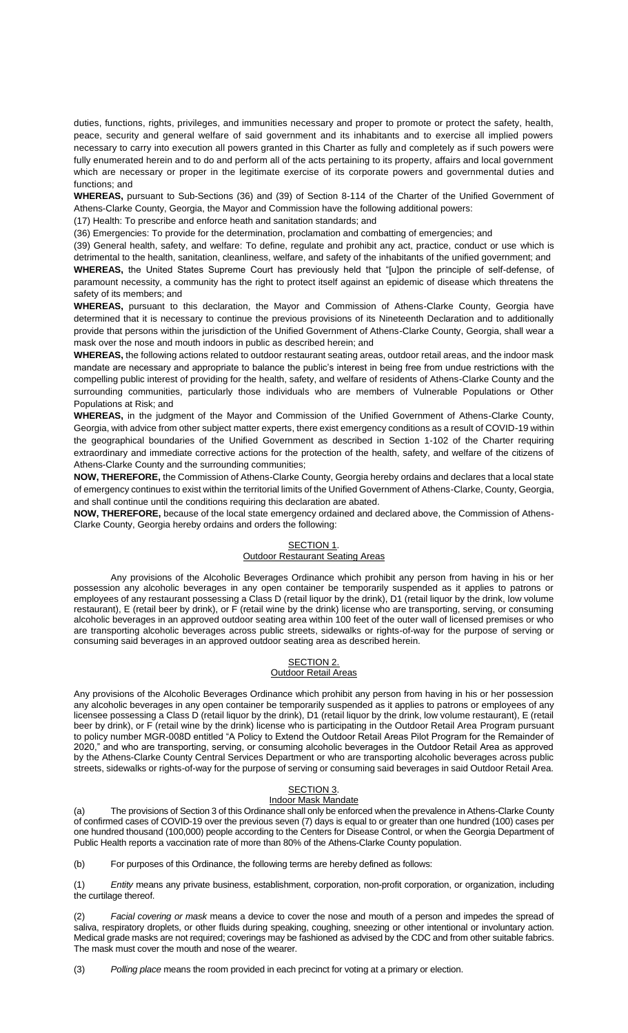duties, functions, rights, privileges, and immunities necessary and proper to promote or protect the safety, health, peace, security and general welfare of said government and its inhabitants and to exercise all implied powers necessary to carry into execution all powers granted in this Charter as fully and completely as if such powers were fully enumerated herein and to do and perform all of the acts pertaining to its property, affairs and local government which are necessary or proper in the legitimate exercise of its corporate powers and governmental duties and functions; and

**WHEREAS,** pursuant to Sub-Sections (36) and (39) of Section 8-114 of the Charter of the Unified Government of Athens-Clarke County, Georgia, the Mayor and Commission have the following additional powers:

(17) Health: To prescribe and enforce heath and sanitation standards; and

(36) Emergencies: To provide for the determination, proclamation and combatting of emergencies; and

(39) General health, safety, and welfare: To define, regulate and prohibit any act, practice, conduct or use which is detrimental to the health, sanitation, cleanliness, welfare, and safety of the inhabitants of the unified government; and **WHEREAS,** the United States Supreme Court has previously held that "[u]pon the principle of self-defense, of paramount necessity, a community has the right to protect itself against an epidemic of disease which threatens the safety of its members; and

**WHEREAS,** pursuant to this declaration, the Mayor and Commission of Athens-Clarke County, Georgia have determined that it is necessary to continue the previous provisions of its Nineteenth Declaration and to additionally provide that persons within the jurisdiction of the Unified Government of Athens-Clarke County, Georgia, shall wear a mask over the nose and mouth indoors in public as described herein; and

**WHEREAS,** the following actions related to outdoor restaurant seating areas, outdoor retail areas, and the indoor mask mandate are necessary and appropriate to balance the public's interest in being free from undue restrictions with the compelling public interest of providing for the health, safety, and welfare of residents of Athens-Clarke County and the surrounding communities, particularly those individuals who are members of Vulnerable Populations or Other Populations at Risk; and

**WHEREAS,** in the judgment of the Mayor and Commission of the Unified Government of Athens-Clarke County, Georgia, with advice from other subject matter experts, there exist emergency conditions as a result of COVID-19 within the geographical boundaries of the Unified Government as described in Section 1-102 of the Charter requiring extraordinary and immediate corrective actions for the protection of the health, safety, and welfare of the citizens of Athens-Clarke County and the surrounding communities;

**NOW, THEREFORE,** the Commission of Athens-Clarke County, Georgia hereby ordains and declares that a local state of emergency continues to exist within the territorial limits of the Unified Government of Athens-Clarke, County, Georgia, and shall continue until the conditions requiring this declaration are abated.

**NOW, THEREFORE,** because of the local state emergency ordained and declared above, the Commission of Athens-Clarke County, Georgia hereby ordains and orders the following:

#### SECTION 1. **Outdoor Restaurant Seating Areas**

Any provisions of the Alcoholic Beverages Ordinance which prohibit any person from having in his or her possession any alcoholic beverages in any open container be temporarily suspended as it applies to patrons or employees of any restaurant possessing a Class D (retail liquor by the drink), D1 (retail liquor by the drink, low volume restaurant), E (retail beer by drink), or F (retail wine by the drink) license who are transporting, serving, or consuming alcoholic beverages in an approved outdoor seating area within 100 feet of the outer wall of licensed premises or who are transporting alcoholic beverages across public streets, sidewalks or rights-of-way for the purpose of serving or consuming said beverages in an approved outdoor seating area as described herein.

#### SECTION<sub>2</sub>. Outdoor Retail Areas

Any provisions of the Alcoholic Beverages Ordinance which prohibit any person from having in his or her possession any alcoholic beverages in any open container be temporarily suspended as it applies to patrons or employees of any licensee possessing a Class D (retail liquor by the drink), D1 (retail liquor by the drink, low volume restaurant), E (retail beer by drink), or F (retail wine by the drink) license who is participating in the Outdoor Retail Area Program pursuant to policy number MGR-008D entitled "A Policy to Extend the Outdoor Retail Areas Pilot Program for the Remainder of 2020," and who are transporting, serving, or consuming alcoholic beverages in the Outdoor Retail Area as approved by the Athens-Clarke County Central Services Department or who are transporting alcoholic beverages across public streets, sidewalks or rights-of-way for the purpose of serving or consuming said beverages in said Outdoor Retail Area.

#### SECTION 3. Indoor Mask Mandate

(a) The provisions of Section 3 of this Ordinance shall only be enforced when the prevalence in Athens-Clarke County of confirmed cases of COVID-19 over the previous seven (7) days is equal to or greater than one hundred (100) cases per one hundred thousand (100,000) people according to the Centers for Disease Control, or when the Georgia Department of Public Health reports a vaccination rate of more than 80% of the Athens-Clarke County population.

(b) For purposes of this Ordinance, the following terms are hereby defined as follows:

(1) *Entity* means any private business, establishment, corporation, non-profit corporation, or organization, including the curtilage thereof.

(2) *Facial covering or mask* means a device to cover the nose and mouth of a person and impedes the spread of saliva, respiratory droplets, or other fluids during speaking, coughing, sneezing or other intentional or involuntary action. Medical grade masks are not required; coverings may be fashioned as advised by the CDC and from other suitable fabrics. The mask must cover the mouth and nose of the wearer.

(3) *Polling place* means the room provided in each precinct for voting at a primary or election.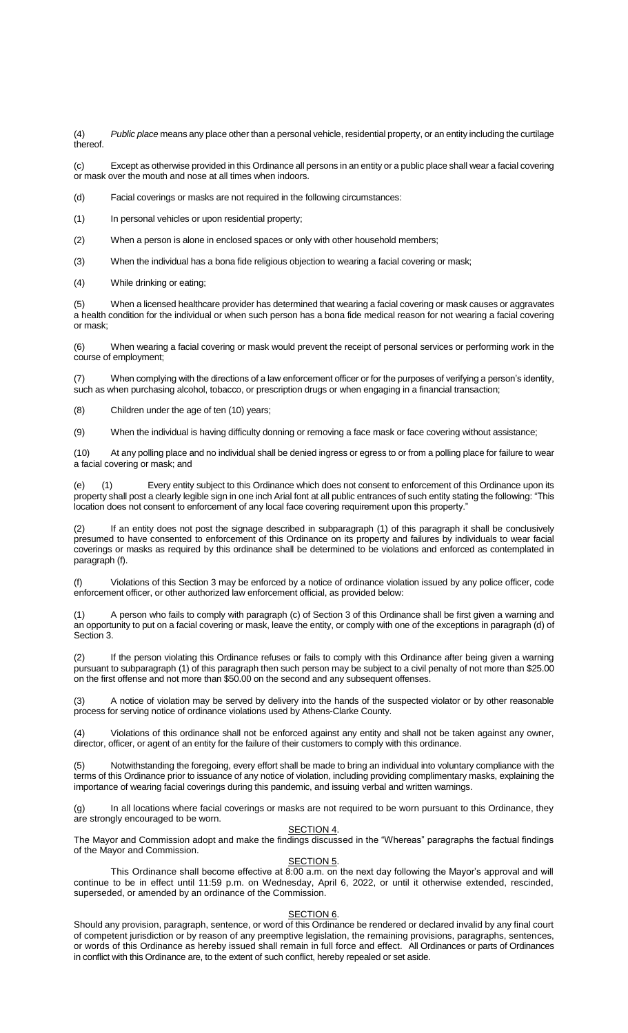(4) *Public place* means any place other than a personal vehicle, residential property, or an entity including the curtilage thereof.

(c) Except as otherwise provided in this Ordinance all persons in an entity or a public place shall wear a facial covering or mask over the mouth and nose at all times when indoors.

(d) Facial coverings or masks are not required in the following circumstances:

(1) In personal vehicles or upon residential property;

(2) When a person is alone in enclosed spaces or only with other household members;

(3) When the individual has a bona fide religious objection to wearing a facial covering or mask;

(4) While drinking or eating;

(5) When a licensed healthcare provider has determined that wearing a facial covering or mask causes or aggravates a health condition for the individual or when such person has a bona fide medical reason for not wearing a facial covering or mask;

(6) When wearing a facial covering or mask would prevent the receipt of personal services or performing work in the course of employment;

(7) When complying with the directions of a law enforcement officer or for the purposes of verifying a person's identity, such as when purchasing alcohol, tobacco, or prescription drugs or when engaging in a financial transaction;

(8) Children under the age of ten (10) years;

(9) When the individual is having difficulty donning or removing a face mask or face covering without assistance;

(10) At any polling place and no individual shall be denied ingress or egress to or from a polling place for failure to wear a facial covering or mask; and

(e) (1) Every entity subject to this Ordinance which does not consent to enforcement of this Ordinance upon its property shall post a clearly legible sign in one inch Arial font at all public entrances of such entity stating the following: "This location does not consent to enforcement of any local face covering requirement upon this property."

If an entity does not post the signage described in subparagraph (1) of this paragraph it shall be conclusively presumed to have consented to enforcement of this Ordinance on its property and failures by individuals to wear facial coverings or masks as required by this ordinance shall be determined to be violations and enforced as contemplated in paragraph (f).

(f) Violations of this Section 3 may be enforced by a notice of ordinance violation issued by any police officer, code enforcement officer, or other authorized law enforcement official, as provided below:

(1) A person who fails to comply with paragraph (c) of Section 3 of this Ordinance shall be first given a warning and an opportunity to put on a facial covering or mask, leave the entity, or comply with one of the exceptions in paragraph (d) of Section 3.

(2) If the person violating this Ordinance refuses or fails to comply with this Ordinance after being given a warning pursuant to subparagraph (1) of this paragraph then such person may be subject to a civil penalty of not more than \$25.00 on the first offense and not more than \$50.00 on the second and any subsequent offenses.

(3) A notice of violation may be served by delivery into the hands of the suspected violator or by other reasonable process for serving notice of ordinance violations used by Athens-Clarke County.

(4) Violations of this ordinance shall not be enforced against any entity and shall not be taken against any owner, director, officer, or agent of an entity for the failure of their customers to comply with this ordinance.

(5) Notwithstanding the foregoing, every effort shall be made to bring an individual into voluntary compliance with the terms of this Ordinance prior to issuance of any notice of violation, including providing complimentary masks, explaining the importance of wearing facial coverings during this pandemic, and issuing verbal and written warnings.

(g) In all locations where facial coverings or masks are not required to be worn pursuant to this Ordinance, they are strongly encouraged to be worn.

## SECTION 4.

The Mayor and Commission adopt and make the findings discussed in the "Whereas" paragraphs the factual findings of the Mayor and Commission.

#### SECTION<sub>5</sub>.

This Ordinance shall become effective at 8:00 a.m. on the next day following the Mayor's approval and will continue to be in effect until 11:59 p.m. on Wednesday, April 6, 2022, or until it otherwise extended, rescinded, superseded, or amended by an ordinance of the Commission.

### SECTION 6.

Should any provision, paragraph, sentence, or word of this Ordinance be rendered or declared invalid by any final court of competent jurisdiction or by reason of any preemptive legislation, the remaining provisions, paragraphs, sentences, or words of this Ordinance as hereby issued shall remain in full force and effect. All Ordinances or parts of Ordinances in conflict with this Ordinance are, to the extent of such conflict, hereby repealed or set aside.